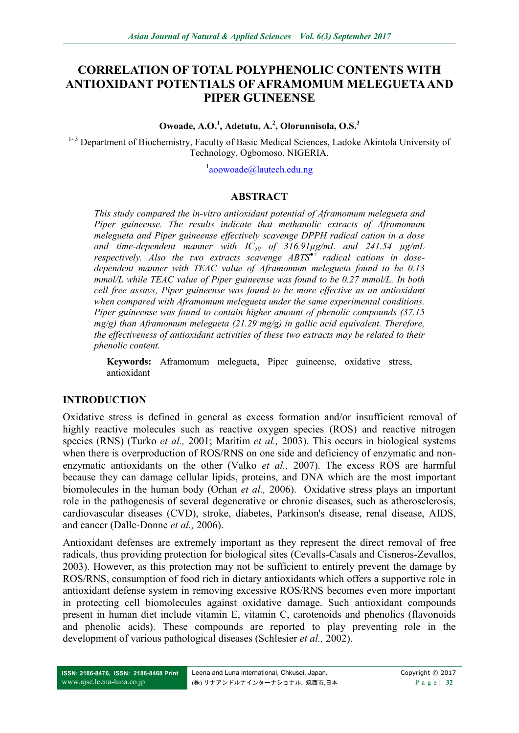# **CORRELATION OF TOTAL POLYPHENOLIC CONTENTS WITH ANTIOXIDANT POTENTIALS OF AFRAMOMUM MELEGUETA AND PIPER GUINEENSE**

#### **Owoade, A.O.<sup>1</sup> , Adetutu, A.<sup>2</sup> , Olorunnisola, O.S.<sup>3</sup>**

<sup>1-3</sup> Department of Biochemistry, Faculty of Basic Medical Sciences, Ladoke Akintola University of Technology, Ogbomoso. NIGERIA.

<sup>1</sup>[aoowoade@lautech.edu.ng](mailto:aoowoade@lautech.edu.ng)

### **ABSTRACT**

*This study compared the in-vitro antioxidant potential of Aframomum melegueta and Piper guineense. The results indicate that methanolic extracts of Aframomum melegueta and Piper guineense effectively scavenge DPPH radical cation in a dose and time-dependent manner with IC<sup>50</sup> of 316.91µg/mL and 241.54 µg/mL respectively. Also the two extracts scavenge ABTS●+ radical cations in dosedependent manner with TEAC value of Aframomum melegueta found to be 0.13 mmol/L while TEAC value of Piper guineense was found to be 0.27 mmol/L. In both cell free assays, Piper guineense was found to be more effective as an antioxidant when compared with Aframomum melegueta under the same experimental conditions. Piper guineense was found to contain higher amount of phenolic compounds (37.15 mg/g) than Aframomum melegueta (21.29 mg/g) in gallic acid equivalent. Therefore, the effectiveness of antioxidant activities of these two extracts may be related to their phenolic content.*

**Keywords:** Aframomum melegueta, Piper guineense, oxidative stress, antioxidant

### **INTRODUCTION**

Oxidative stress is defined in general as excess formation and/or insufficient removal of highly reactive molecules such as reactive oxygen species (ROS) and reactive nitrogen species (RNS) (Turko *et al.,* 2001; Maritim *et al.,* 2003). This occurs in biological systems when there is overproduction of ROS/RNS on one side and deficiency of enzymatic and nonenzymatic antioxidants on the other (Valko *et al.,* 2007). The excess ROS are harmful because they can damage cellular lipids, proteins, and DNA which are the most important biomolecules in the human body (Orhan *et al.,* 2006). Oxidative stress plays an important role in the pathogenesis of several degenerative or chronic diseases, such as atherosclerosis, cardiovascular diseases (CVD), stroke, diabetes, Parkinson's disease, renal disease, AIDS, and cancer (Dalle-Donne *et al.,* 2006).

Antioxidant defenses are extremely important as they represent the direct removal of free radicals, thus providing protection for biological sites (Cevalls-Casals and Cisneros-Zevallos, 2003). However, as this protection may not be sufficient to entirely prevent the damage by ROS/RNS, consumption of food rich in dietary antioxidants which offers a supportive role in antioxidant defense system in removing excessive ROS/RNS becomes even more important in protecting cell biomolecules against oxidative damage. Such antioxidant compounds present in human diet include vitamin E, vitamin C, carotenoids and phenolics (flavonoids and phenolic acids). These compounds are reported to play preventing role in the development of various pathological diseases (Schlesier *et al.,* 2002).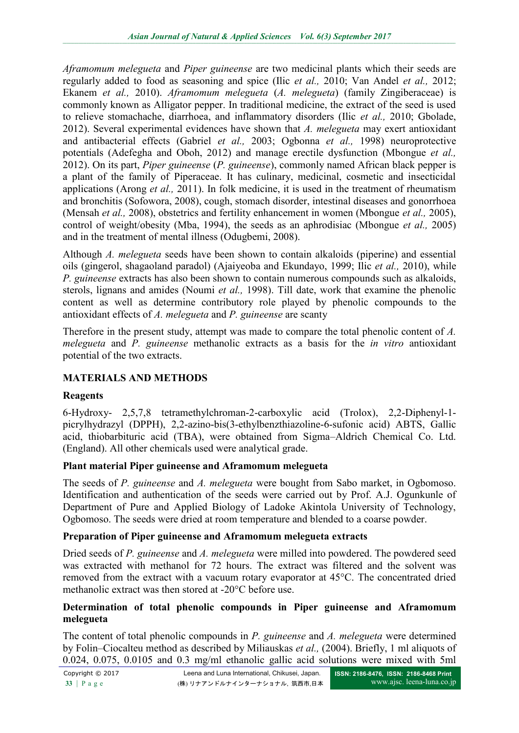*Aframomum melegueta* and *Piper guineense* are two medicinal plants which their seeds are regularly added to food as seasoning and spice (Ilic *et al.,* 2010; Van Andel *et al.,* 2012; Ekanem *et al.,* 2010). *Aframomum melegueta* (*A. melegueta*) (family Zingiberaceae) is commonly known as Alligator pepper. In traditional medicine, the extract of the seed is used to relieve stomachache, diarrhoea, and inflammatory disorders (Ilic *et al.,* 2010; Gbolade, 2012). Several experimental evidences have shown that *A. melegueta* may exert antioxidant and antibacterial effects (Gabriel *et al.,* 2003; Ogbonna *et al.,* 1998) neuroprotective potentials (Adefegha and Oboh, 2012) and manage erectile dysfunction (Mbongue *et al.,* 2012). On its part, *Piper guineense* (*P. guineense*), commonly named African black pepper is a plant of the family of Piperaceae. It has culinary, medicinal, cosmetic and insecticidal applications (Arong *et al.,* 2011). In folk medicine, it is used in the treatment of rheumatism and bronchitis (Sofowora, 2008), cough, stomach disorder, intestinal diseases and gonorrhoea (Mensah *et al.,* 2008), obstetrics and fertility enhancement in women (Mbongue *et al.,* 2005), control of weight/obesity (Mba, 1994), the seeds as an aphrodisiac (Mbongue *et al.,* 2005) and in the treatment of mental illness (Odugbemi, 2008).

Although *A. melegueta* seeds have been shown to contain alkaloids (piperine) and essential oils (gingerol, shagaoland paradol) (Ajaiyeoba and Ekundayo, 1999; Ilic *et al.,* 2010), while *P. guineense* extracts has also been shown to contain numerous compounds such as alkaloids, sterols, lignans and amides (Noumi *et al.,* 1998). Till date, work that examine the phenolic content as well as determine contributory role played by phenolic compounds to the antioxidant effects of *A. melegueta* and *P. guineense* are scanty

Therefore in the present study, attempt was made to compare the total phenolic content of *A. melegueta* and *P. guineense* methanolic extracts as a basis for the *in vitro* antioxidant potential of the two extracts.

# **MATERIALS AND METHODS**

## **Reagents**

6-Hydroxy- 2,5,7,8 tetramethylchroman-2-carboxylic acid (Trolox), 2,2-Diphenyl-1 picrylhydrazyl (DPPH), 2,2-azino-bis(3-ethylbenzthiazoline-6-sufonic acid) ABTS, Gallic acid, thiobarbituric acid (TBA), were obtained from Sigma–Aldrich Chemical Co. Ltd. (England). All other chemicals used were analytical grade.

## **Plant material Piper guineense and Aframomum melegueta**

The seeds of *P. guineense* and *A. melegueta* were bought from Sabo market, in Ogbomoso. Identification and authentication of the seeds were carried out by Prof. A.J. Ogunkunle of Department of Pure and Applied Biology of Ladoke Akintola University of Technology, Ogbomoso. The seeds were dried at room temperature and blended to a coarse powder.

## **Preparation of Piper guineense and Aframomum melegueta extracts**

Dried seeds of *P. guineense* and *A. melegueta* were milled into powdered. The powdered seed was extracted with methanol for 72 hours. The extract was filtered and the solvent was removed from the extract with a vacuum rotary evaporator at 45°C. The concentrated dried methanolic extract was then stored at -20°C before use.

## **Determination of total phenolic compounds in Piper guineense and Aframomum melegueta**

The content of total phenolic compounds in *P. guineense* and *A. melegueta* were determined by Folin–Ciocalteu method as described by Miliauskas *et al.,* (2004). Briefly, 1 ml aliquots of 0.024, 0.075, 0.0105 and 0.3 mg/ml ethanolic gallic acid solutions were mixed with 5ml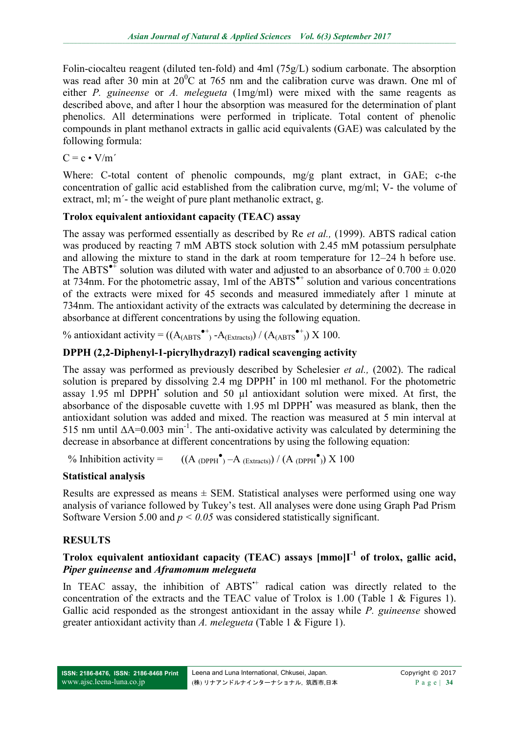Folin-ciocalteu reagent (diluted ten-fold) and 4ml (75g/L) sodium carbonate. The absorption was read after 30 min at  $20^{\circ}$ C at 765 nm and the calibration curve was drawn. One ml of either *P. guineense* or *A. melegueta* (1mg/ml) were mixed with the same reagents as described above, and after l hour the absorption was measured for the determination of plant phenolics. All determinations were performed in triplicate. Total content of phenolic compounds in plant methanol extracts in gallic acid equivalents (GAE) was calculated by the following formula:

 $C = c \cdot V/m'$ 

Where: C-total content of phenolic compounds, mg/g plant extract, in GAE; c-the concentration of gallic acid established from the calibration curve, mg/ml; V- the volume of extract, ml; m΄- the weight of pure plant methanolic extract, g.

## **Trolox equivalent antioxidant capacity (TEAC) assay**

The assay was performed essentially as described by Re *et al.,* (1999). ABTS radical cation was produced by reacting 7 mM ABTS stock solution with 2.45 mM potassium persulphate and allowing the mixture to stand in the dark at room temperature for 12–24 h before use. The ABTS<sup> $\bullet$ <sup> $\ddagger$ </sup> solution was diluted with water and adjusted to an absorbance of 0.700  $\pm$  0.020</sup> at 734nm. For the photometric assay, 1ml of the  $ABTS^{\bullet+}$  solution and various concentrations of the extracts were mixed for 45 seconds and measured immediately after 1 minute at 734nm. The antioxidant activity of the extracts was calculated by determining the decrease in absorbance at different concentrations by using the following equation.

% antioxidant activity =  $((A_{(ABTS}^{\bullet+})$  - $A_{(Extacts)}) / (A_{(ABTS}^{\bullet+})$ ) X 100.

# **DPPH (2,2-Diphenyl-1-picrylhydrazyl) radical scavenging activity**

The assay was performed as previously described by Schelesier *et al.,* (2002). The radical solution is prepared by dissolving 2.4 mg DPPH' in 100 ml methanol. For the photometric assay 1.95 ml DPPH<sup>•</sup> solution and 50 µl antioxidant solution were mixed. At first, the absorbance of the disposable cuvette with 1.95 ml DPPH<sup>•</sup> was measured as blank, then the antioxidant solution was added and mixed. The reaction was measured at 5 min interval at 515 nm until  $\Delta A = 0.003$  min<sup>-1</sup>. The anti-oxidative activity was calculated by determining the decrease in absorbance at different concentrations by using the following equation:

 $%$  Inhibition activity =  $\bullet$ <sub>)</sub> –A (Extracts)) / (A (DPPH $\bullet$ )) X 100

## **Statistical analysis**

Results are expressed as means  $\pm$  SEM. Statistical analyses were performed using one way analysis of variance followed by Tukey's test. All analyses were done using Graph Pad Prism Software Version 5.00 and *p < 0.05* was considered statistically significant.

# **RESULTS**

## **Trolox equivalent antioxidant capacity (TEAC) assays [mmo]I-1 of trolox, gallic acid,**  *Piper guineense* **and** *Aframomum melegueta*

In TEAC assay, the inhibition of ABTS<sup>++</sup> radical cation was directly related to the concentration of the extracts and the TEAC value of Trolox is 1.00 (Table 1 & Figures 1). Gallic acid responded as the strongest antioxidant in the assay while *P. guineense* showed greater antioxidant activity than *A. melegueta* (Table 1 & Figure 1).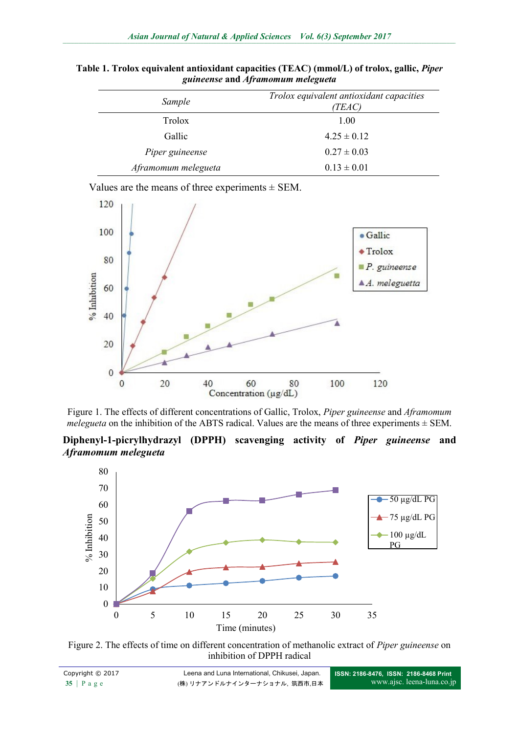| Sample              | Trolox equivalent antioxidant capacities<br>(TEAC) |
|---------------------|----------------------------------------------------|
| Trolox              | 1.00                                               |
| Gallic              | $4.25 \pm 0.12$                                    |
| Piper guineense     | $0.27 \pm 0.03$                                    |
| Aframomum melegueta | $0.13 \pm 0.01$                                    |

**Table 1. Trolox equivalent antioxidant capacities (TEAC) (mmol/L) of trolox, gallic,** *Piper guineense* **and** *Aframomum melegueta*

Values are the means of three experiments  $\pm$  SEM.



Figure 1. The effects of different concentrations of Gallic, Trolox, *Piper guineense* and *Aframomum melegueta* on the inhibition of the ABTS radical. Values are the means of three experiments  $\pm$  SEM.

**Diphenyl-1-picrylhydrazyl (DPPH) scavenging activity of** *Piper guineense* **and**  *Aframomum melegueta*



Figure 2. The effects of time on different concentration of methanolic extract of *Piper guineense* on inhibition of DPPH radical

| Copyright © 2017 | Leena and Luna International, Chikusei, Japan. | ISSN: 2186-8476, ISSN: 2186-8468 Print |
|------------------|------------------------------------------------|----------------------------------------|
| $35$   Page      | (株)リナアンドルナインターナショナル、筑西市、日本                     | www.ajsc. leena-luna.co.jp             |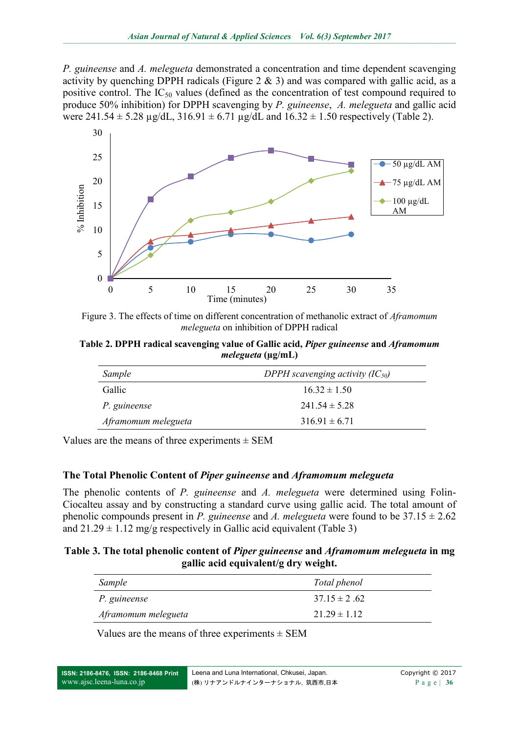*P. guineense* and *A. melegueta* demonstrated a concentration and time dependent scavenging activity by quenching DPPH radicals (Figure 2  $\&$  3) and was compared with gallic acid, as a positive control. The  $IC_{50}$  values (defined as the concentration of test compound required to produce 50% inhibition) for DPPH scavenging by *P. guineense*, *A. melegueta* and gallic acid were  $241.54 \pm 5.28 \mu g/dL$ ,  $316.91 \pm 6.71 \mu g/dL$  and  $16.32 \pm 1.50$  respectively (Table 2).



Figure 3. The effects of time on different concentration of methanolic extract of *Aframomum melegueta* on inhibition of DPPH radical

**Table 2. DPPH radical scavenging value of Gallic acid,** *Piper guineense* **and** *Aframomum melegueta* **(µg/mL)**

| Sample              | DPPH scavenging activity $(IC_{50})$ |
|---------------------|--------------------------------------|
| Gallic              | $16.32 \pm 1.50$                     |
| P. guineense        | $241.54 \pm 5.28$                    |
| Aframomum melegueta | $316.91 \pm 6.71$                    |

Values are the means of three experiments  $\pm$  SEM

### **The Total Phenolic Content of** *Piper guineense* **and** *Aframomum melegueta*

The phenolic contents of *P. guineense* and *A. melegueta* were determined using Folin-Ciocalteu assay and by constructing a standard curve using gallic acid. The total amount of phenolic compounds present in *P. guineense* and *A. melegueta* were found to be  $37.15 \pm 2.62$ and  $21.29 \pm 1.12$  mg/g respectively in Gallic acid equivalent (Table 3)

#### **Table 3. The total phenolic content of** *Piper guineense* **and** *Aframomum melegueta* **in mg gallic acid equivalent/g dry weight.**

| Sample              | Total phenol     |
|---------------------|------------------|
| P. guineense        | $3715 \pm 262$   |
| Aframomum melegueta | $21.29 \pm 1.12$ |

Values are the means of three experiments  $\pm$  SEM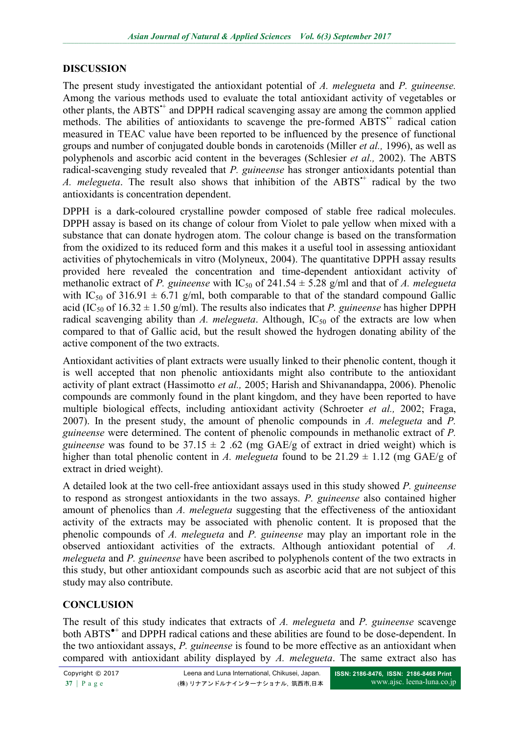## **DISCUSSION**

The present study investigated the antioxidant potential of *A. melegueta* and *P. guineense.*  Among the various methods used to evaluate the total antioxidant activity of vegetables or other plants, the ABTS<sup>++</sup> and DPPH radical scavenging assay are among the common applied methods. The abilities of antioxidants to scavenge the pre-formed ABTS<sup>++</sup> radical cation measured in TEAC value have been reported to be influenced by the presence of functional groups and number of conjugated double bonds in carotenoids (Miller *et al.,* 1996), as well as polyphenols and ascorbic acid content in the beverages (Schlesier *et al.,* 2002). The ABTS radical-scavenging study revealed that *P. guineense* has stronger antioxidants potential than *A. melegueta.* The result also shows that inhibition of the ABTS<sup>++</sup> radical by the two antioxidants is concentration dependent.

DPPH is a dark-coloured crystalline powder composed of stable free radical molecules. DPPH assay is based on its change of colour from Violet to pale yellow when mixed with a substance that can donate hydrogen atom. The colour change is based on the transformation from the oxidized to its reduced form and this makes it a useful tool in assessing antioxidant activities of phytochemicals in vitro (Molyneux, 2004). The quantitative DPPH assay results provided here revealed the concentration and time-dependent antioxidant activity of methanolic extract of *P. guineense* with  $IC_{50}$  of 241.54  $\pm$  5.28 g/ml and that of *A. melegueta* with IC<sub>50</sub> of 316.91  $\pm$  6.71 g/ml, both comparable to that of the standard compound Gallic acid (IC<sub>50</sub> of 16.32  $\pm$  1.50 g/ml). The results also indicates that *P. guineense* has higher DPPH radical scavenging ability than *A. melegueta*. Although,  $IC_{50}$  of the extracts are low when compared to that of Gallic acid, but the result showed the hydrogen donating ability of the active component of the two extracts.

Antioxidant activities of plant extracts were usually linked to their phenolic content, though it is well accepted that non phenolic antioxidants might also contribute to the antioxidant activity of plant extract (Hassimotto *et al.,* 2005; Harish and Shivanandappa, 2006). Phenolic compounds are commonly found in the plant kingdom, and they have been reported to have multiple biological effects, including antioxidant activity (Schroeter *et al.,* 2002; Fraga, 2007). In the present study, the amount of phenolic compounds in *A. melegueta* and *P. guineense* were determined. The content of phenolic compounds in methanolic extract of *P. guineense* was found to be  $37.15 \pm 2.62$  (mg GAE/g of extract in dried weight) which is higher than total phenolic content in *A. melegueta* found to be  $21.29 \pm 1.12$  (mg GAE/g of extract in dried weight).

A detailed look at the two cell-free antioxidant assays used in this study showed *P. guineense* to respond as strongest antioxidants in the two assays. *P. guineense* also contained higher amount of phenolics than *A. melegueta* suggesting that the effectiveness of the antioxidant activity of the extracts may be associated with phenolic content. It is proposed that the phenolic compounds of *A. melegueta* and *P. guineense* may play an important role in the observed antioxidant activities of the extracts. Although antioxidant potential of *A. melegueta* and *P. guineense* have been ascribed to polyphenols content of the two extracts in this study, but other antioxidant compounds such as ascorbic acid that are not subject of this study may also contribute.

## **CONCLUSION**

The result of this study indicates that extracts of *A. melegueta* and *P. guineense* scavenge both ABTS<sup>\*+</sup> and DPPH radical cations and these abilities are found to be dose-dependent. In the two antioxidant assays, *P. guineense* is found to be more effective as an antioxidant when compared with antioxidant ability displayed by *A. melegueta*. The same extract also has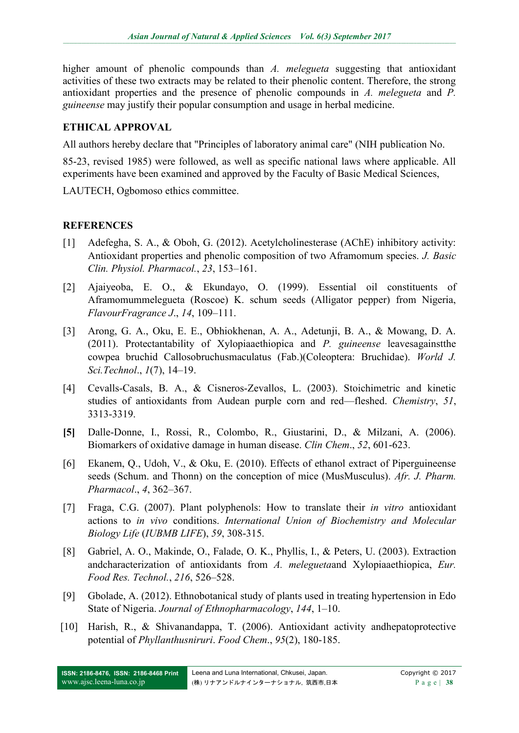higher amount of phenolic compounds than *A. melegueta* suggesting that antioxidant activities of these two extracts may be related to their phenolic content. Therefore, the strong antioxidant properties and the presence of phenolic compounds in *A. melegueta* and *P. guineense* may justify their popular consumption and usage in herbal medicine.

## **ETHICAL APPROVAL**

All authors hereby declare that "Principles of laboratory animal care" (NIH publication No.

85-23, revised 1985) were followed, as well as specific national laws where applicable. All experiments have been examined and approved by the Faculty of Basic Medical Sciences,

LAUTECH, Ogbomoso ethics committee.

## **REFERENCES**

- [1] Adefegha, S. A., & Oboh, G. (2012). Acetylcholinesterase (AChE) inhibitory activity: Antioxidant properties and phenolic composition of two Aframomum species. *J. Basic Clin. Physiol. Pharmacol.*, *23*, 153–161.
- [2] Ajaiyeoba, E. O., & Ekundayo, O. (1999). Essential oil constituents of Aframomummelegueta (Roscoe) K. schum seeds (Alligator pepper) from Nigeria, *FlavourFragrance J*., *14*, 109–111.
- [3] Arong, G. A., Oku, E. E., Obhiokhenan, A. A., Adetunji, B. A., & Mowang, D. A. (2011). Protectantability of Xylopiaaethiopica and *P. guineense* leavesagainstthe cowpea bruchid Callosobruchusmaculatus (Fab.)(Coleoptera: Bruchidae). *World J. Sci.Technol*., *1*(7), 14–19.
- [4] Cevalls-Casals, B. A., & Cisneros-Zevallos, L. (2003). Stoichimetric and kinetic studies of antioxidants from Audean purple corn and red—fleshed. *Chemistry*, *51*, 3313-3319.
- **[5]** Dalle-Donne, I., Rossi, R., Colombo, R., Giustarini, D., & Milzani, A. (2006). Biomarkers of oxidative damage in human disease. *Clin Chem*., *52*, 601-623.
- [6] Ekanem, Q., Udoh, V., & Oku, E. (2010). Effects of ethanol extract of Piperguineense seeds (Schum. and Thonn) on the conception of mice (MusMusculus). *Afr. J. Pharm. Pharmacol*., *4*, 362–367.
- [7] Fraga, C.G. (2007). Plant polyphenols: How to translate their *in vitro* antioxidant actions to *in vivo* conditions. *International Union of Biochemistry and Molecular Biology Life* (*IUBMB LIFE*), *59*, 308-315.
- [8] Gabriel, A. O., Makinde, O., Falade, O. K., Phyllis, I., & Peters, U. (2003). Extraction andcharacterization of antioxidants from *A. melegueta*and Xylopiaaethiopica, *Eur. Food Res. Technol.*, *216*, 526–528.
- [9] Gbolade, A. (2012). Ethnobotanical study of plants used in treating hypertension in Edo State of Nigeria. *Journal of Ethnopharmacology*, *144*, 1–10.
- [10] Harish, R., & Shivanandappa, T. (2006). Antioxidant activity andhepatoprotective potential of *Phyllanthusniruri*. *Food Chem*., *95*(2), 180-185.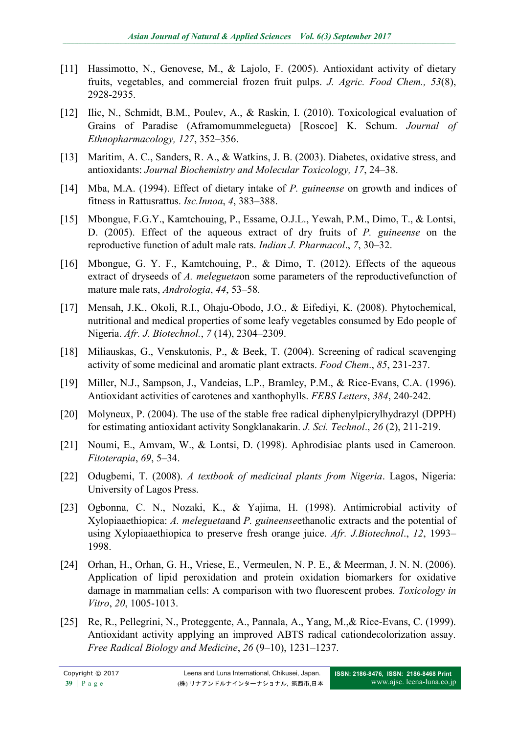- [11] Hassimotto, N., Genovese, M., & Lajolo, F. (2005). Antioxidant activity of dietary fruits, vegetables, and commercial frozen fruit pulps. *J. Agric. Food Chem., 53*(8), 2928-2935.
- [12] Ilic, N., Schmidt, B.M., Poulev, A., & Raskin, I. (2010). Toxicological evaluation of Grains of Paradise (Aframomummelegueta) [Roscoe] K. Schum. *Journal of Ethnopharmacology, 127*, 352–356.
- [13] Maritim, A. C., Sanders, R. A., & Watkins, J. B. (2003). Diabetes, oxidative stress, and antioxidants: *Journal Biochemistry and Molecular Toxicology, 17*, 24–38.
- [14] Mba, M.A. (1994). Effect of dietary intake of *P. guineense* on growth and indices of fitness in Rattusrattus. *Isc.Innoa*, *4*, 383–388.
- [15] Mbongue, F.G.Y., Kamtchouing, P., Essame, O.J.L., Yewah, P.M., Dimo, T., & Lontsi, D. (2005). Effect of the aqueous extract of dry fruits of *P. guineense* on the reproductive function of adult male rats. *Indian J. Pharmacol*., *7*, 30–32.
- [16] Mbongue, G. Y. F., Kamtchouing, P., & Dimo, T. (2012). Effects of the aqueous extract of dryseeds of *A. melegueta*on some parameters of the reproductivefunction of mature male rats, *Andrologia*, *44*, 53–58.
- [17] Mensah, J.K., Okoli, R.I., Ohaju-Obodo, J.O., & Eifediyi, K. (2008). Phytochemical, nutritional and medical properties of some leafy vegetables consumed by Edo people of Nigeria. *Afr. J. Biotechnol.*, *7* (14), 2304–2309.
- [18] Miliauskas, G., Venskutonis, P., & Beek, T. (2004). Screening of radical scavenging activity of some medicinal and aromatic plant extracts. *Food Chem*., *85*, 231-237.
- [19] Miller, N.J., Sampson, J., Vandeias, L.P., Bramley, P.M., & Rice-Evans, C.A. (1996). Antioxidant activities of carotenes and xanthophylls. *FEBS Letters*, *384*, 240-242.
- [20] Molyneux, P. (2004). The use of the stable free radical diphenylpicrylhydrazyl (DPPH) for estimating antioxidant activity Songklanakarin. *J. Sci. Technol*., *26* (2), 211-219.
- [21] Noumi, E., Amvam, W., & Lontsi, D. (1998). Aphrodisiac plants used in Cameroon*. Fitoterapia*, *69*, 5–34.
- [22] Odugbemi, T. (2008). *A textbook of medicinal plants from Nigeria*. Lagos, Nigeria: University of Lagos Press.
- [23] Ogbonna, C. N., Nozaki, K., & Yajima, H. (1998). Antimicrobial activity of Xylopiaaethiopica: *A. melegueta*and *P. guineense*ethanolic extracts and the potential of using Xylopiaaethiopica to preserve fresh orange juice. *Afr. J.Biotechnol*., *12*, 1993– 1998.
- [24] Orhan, H., Orhan, G. H., Vriese, E., Vermeulen, N. P. E., & Meerman, J. N. N. (2006). Application of lipid peroxidation and protein oxidation biomarkers for oxidative damage in mammalian cells: A comparison with two fluorescent probes. *Toxicology in Vitro*, *20*, 1005-1013.
- [25] Re, R., Pellegrini, N., Proteggente, A., Pannala, A., Yang, M., & Rice-Evans, C. (1999). Antioxidant activity applying an improved ABTS radical cationdecolorization assay. *Free Radical Biology and Medicine*, *26* (9–10), 1231–1237.